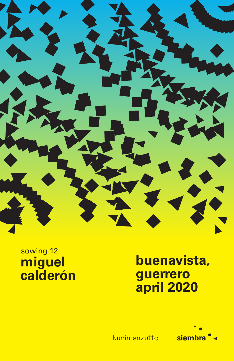

## sowing 12 miguel calderón

## buenavista, guerrero april 2020



kurimanzutto